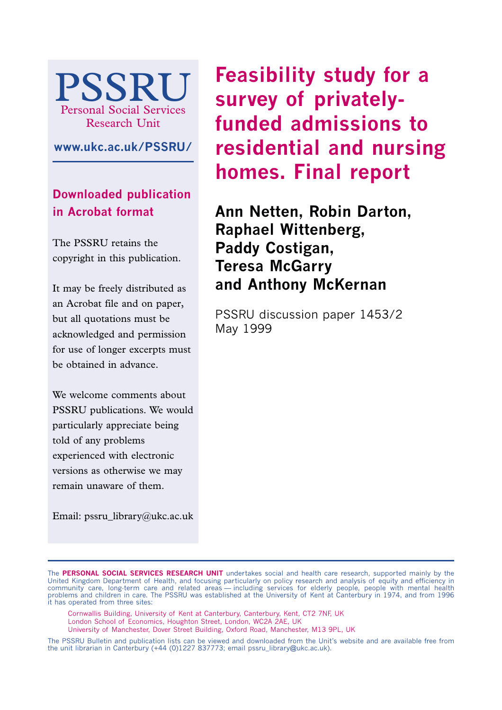

**www.ukc.ac.uk/PSSRU/**

**Downloaded publication in Acrobat format**

The PSSRU retains the copyright in this publication.

It may be freely distributed as an Acrobat file and on paper, but all quotations must be acknowledged and permission for use of longer excerpts must be obtained in advance.

We welcome comments about PSSRU publications. We would particularly appreciate being told of any problems experienced with electronic versions as otherwise we may remain unaware of them.

Email: pssru\_library@ukc.ac.uk

**Feasibility study for a survey of privatelyfunded admissions to residential and nursing homes. Final report**

**Ann Netten, Robin Darton, Raphael Wittenberg, Paddy Costigan, Teresa McGarry and Anthony McKernan**

PSSRU discussion paper 1453/2 May 1999

- Cornwallis Building, University of Kent at Canterbury, Canterbury, Kent, CT2 7NF, UK
- London School of Economics, Houghton Street, London, WC2A 2AE, UK
- University of Manchester, Dover Street Building, Oxford Road, Manchester, M13 9PL, UK

The **PERSONAL SOCIAL SERVICES RESEARCH UNIT** undertakes social and health care research, supported mainly by the United Kingdom Department of Health, and focusing particularly on policy research and analysis of equity and efficiency in community care, long-term care and related areas — including services for elderly people, people with mental health problems and children in care. The PSSRU was established at the University of Kent at Canterbury in 1974, and from 1996 it has operated from three sites:

The PSSRU Bulletin and publication lists can be viewed and downloaded from the Unit's website and are available free from the unit librarian in Canterbury (+44 (0)1227 837773; email pssru\_library@ukc.ac.uk).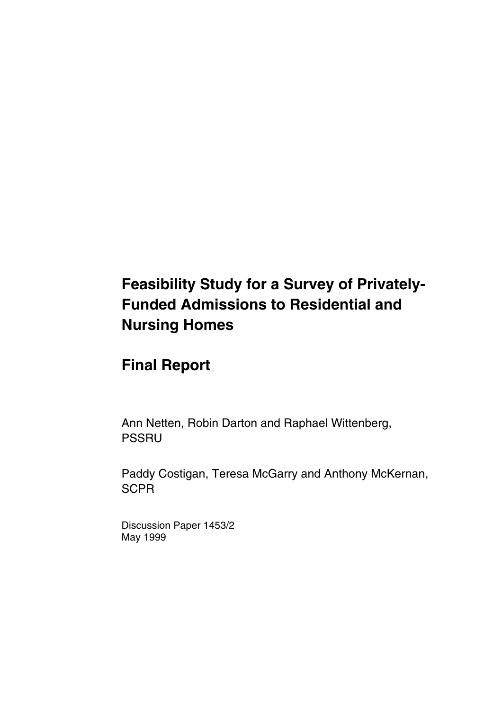# **Feasibility Study for a Survey of Privately-Funded Admissions to Residential and Nursing Homes**

# **Final Report**

Ann Netten, Robin Darton and Raphael Wittenberg, PSSRU

Paddy Costigan, Teresa McGarry and Anthony McKernan, **SCPR** 

Discussion Paper 1453/2 May 1999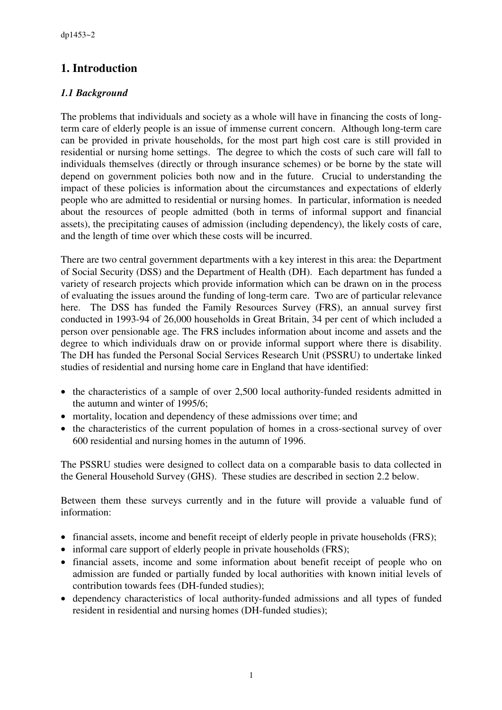# **1. Introduction**

## *1.1 Background*

The problems that individuals and society as a whole will have in financing the costs of longterm care of elderly people is an issue of immense current concern. Although long-term care can be provided in private households, for the most part high cost care is still provided in residential or nursing home settings. The degree to which the costs of such care will fall to individuals themselves (directly or through insurance schemes) or be borne by the state will depend on government policies both now and in the future. Crucial to understanding the impact of these policies is information about the circumstances and expectations of elderly people who are admitted to residential or nursing homes. In particular, information is needed about the resources of people admitted (both in terms of informal support and financial assets), the precipitating causes of admission (including dependency), the likely costs of care, and the length of time over which these costs will be incurred.

There are two central government departments with a key interest in this area: the Department of Social Security (DSS) and the Department of Health (DH). Each department has funded a variety of research projects which provide information which can be drawn on in the process of evaluating the issues around the funding of long-term care. Two are of particular relevance here. The DSS has funded the Family Resources Survey (FRS), an annual survey first conducted in 1993-94 of 26,000 households in Great Britain, 34 per cent of which included a person over pensionable age. The FRS includes information about income and assets and the degree to which individuals draw on or provide informal support where there is disability. The DH has funded the Personal Social Services Research Unit (PSSRU) to undertake linked studies of residential and nursing home care in England that have identified:

- the characteristics of a sample of over 2,500 local authority-funded residents admitted in the autumn and winter of 1995/6;
- mortality, location and dependency of these admissions over time; and
- the characteristics of the current population of homes in a cross-sectional survey of over 600 residential and nursing homes in the autumn of 1996.

The PSSRU studies were designed to collect data on a comparable basis to data collected in the General Household Survey (GHS). These studies are described in section 2.2 below.

Between them these surveys currently and in the future will provide a valuable fund of information:

- financial assets, income and benefit receipt of elderly people in private households (FRS);
- informal care support of elderly people in private households (FRS);
- financial assets, income and some information about benefit receipt of people who on admission are funded or partially funded by local authorities with known initial levels of contribution towards fees (DH-funded studies);
- dependency characteristics of local authority-funded admissions and all types of funded resident in residential and nursing homes (DH-funded studies);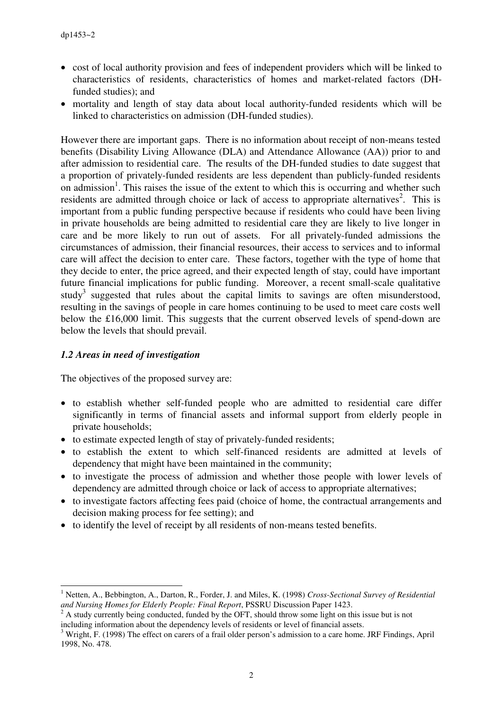- cost of local authority provision and fees of independent providers which will be linked to characteristics of residents, characteristics of homes and market-related factors (DHfunded studies); and
- mortality and length of stay data about local authority-funded residents which will be linked to characteristics on admission (DH-funded studies).

However there are important gaps. There is no information about receipt of non-means tested benefits (Disability Living Allowance (DLA) and Attendance Allowance (AA)) prior to and after admission to residential care. The results of the DH-funded studies to date suggest that a proportion of privately-funded residents are less dependent than publicly-funded residents on admission<sup>1</sup>. This raises the issue of the extent to which this is occurring and whether such residents are admitted through choice or lack of access to appropriate alternatives<sup>2</sup>. This is important from a public funding perspective because if residents who could have been living in private households are being admitted to residential care they are likely to live longer in care and be more likely to run out of assets. For all privately-funded admissions the circumstances of admission, their financial resources, their access to services and to informal care will affect the decision to enter care. These factors, together with the type of home that they decide to enter, the price agreed, and their expected length of stay, could have important future financial implications for public funding. Moreover, a recent small-scale qualitative study<sup>3</sup> suggested that rules about the capital limits to savings are often misunderstood, resulting in the savings of people in care homes continuing to be used to meet care costs well below the £16,000 limit. This suggests that the current observed levels of spend-down are below the levels that should prevail.

#### *1.2 Areas in need of investigation*

The objectives of the proposed survey are:

- to establish whether self-funded people who are admitted to residential care differ significantly in terms of financial assets and informal support from elderly people in private households;
- to estimate expected length of stay of privately-funded residents;
- to establish the extent to which self-financed residents are admitted at levels of dependency that might have been maintained in the community;
- to investigate the process of admission and whether those people with lower levels of dependency are admitted through choice or lack of access to appropriate alternatives;
- to investigate factors affecting fees paid (choice of home, the contractual arrangements and decision making process for fee setting); and
- to identify the level of receipt by all residents of non-means tested benefits.

 $\overline{a}$ 1 Netten, A., Bebbington, A., Darton, R., Forder, J. and Miles, K. (1998) *Cross-Sectional Survey of Residential and Nursing Homes for Elderly People: Final Report*, PSSRU Discussion Paper 1423. <sup>2</sup>

<sup>&</sup>lt;sup>2</sup> A study currently being conducted, funded by the OFT, should throw some light on this issue but is not including information about the dependency levels of residents or level of financial assets.

<sup>&</sup>lt;sup>3</sup> Wright, F. (1998) The effect on carers of a frail older person's admission to a care home. JRF Findings, April 1998, No. 478.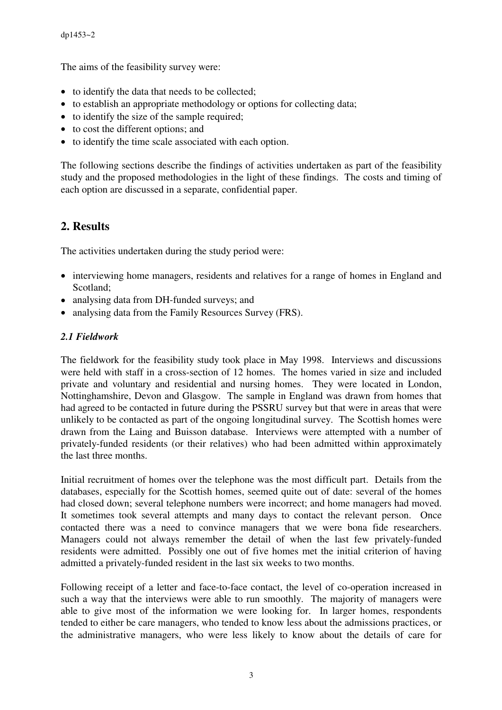The aims of the feasibility survey were:

- to identify the data that needs to be collected;
- to establish an appropriate methodology or options for collecting data;
- to identify the size of the sample required:
- to cost the different options; and
- to identify the time scale associated with each option.

The following sections describe the findings of activities undertaken as part of the feasibility study and the proposed methodologies in the light of these findings. The costs and timing of each option are discussed in a separate, confidential paper.

# **2. Results**

The activities undertaken during the study period were:

- interviewing home managers, residents and relatives for a range of homes in England and Scotland;
- analysing data from DH-funded surveys; and
- analysing data from the Family Resources Survey (FRS).

#### *2.1 Fieldwork*

The fieldwork for the feasibility study took place in May 1998. Interviews and discussions were held with staff in a cross-section of 12 homes. The homes varied in size and included private and voluntary and residential and nursing homes. They were located in London, Nottinghamshire, Devon and Glasgow. The sample in England was drawn from homes that had agreed to be contacted in future during the PSSRU survey but that were in areas that were unlikely to be contacted as part of the ongoing longitudinal survey. The Scottish homes were drawn from the Laing and Buisson database. Interviews were attempted with a number of privately-funded residents (or their relatives) who had been admitted within approximately the last three months.

Initial recruitment of homes over the telephone was the most difficult part. Details from the databases, especially for the Scottish homes, seemed quite out of date: several of the homes had closed down; several telephone numbers were incorrect; and home managers had moved. It sometimes took several attempts and many days to contact the relevant person. Once contacted there was a need to convince managers that we were bona fide researchers. Managers could not always remember the detail of when the last few privately-funded residents were admitted. Possibly one out of five homes met the initial criterion of having admitted a privately-funded resident in the last six weeks to two months.

Following receipt of a letter and face-to-face contact, the level of co-operation increased in such a way that the interviews were able to run smoothly. The majority of managers were able to give most of the information we were looking for. In larger homes, respondents tended to either be care managers, who tended to know less about the admissions practices, or the administrative managers, who were less likely to know about the details of care for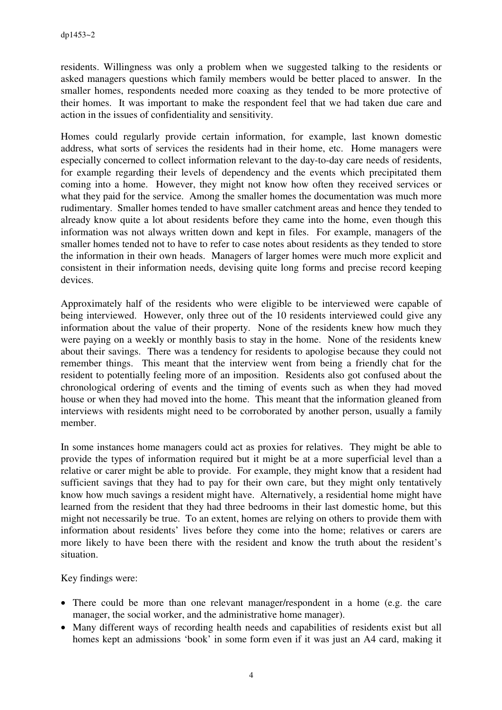residents. Willingness was only a problem when we suggested talking to the residents or asked managers questions which family members would be better placed to answer. In the smaller homes, respondents needed more coaxing as they tended to be more protective of their homes. It was important to make the respondent feel that we had taken due care and action in the issues of confidentiality and sensitivity.

Homes could regularly provide certain information, for example, last known domestic address, what sorts of services the residents had in their home, etc. Home managers were especially concerned to collect information relevant to the day-to-day care needs of residents, for example regarding their levels of dependency and the events which precipitated them coming into a home. However, they might not know how often they received services or what they paid for the service. Among the smaller homes the documentation was much more rudimentary. Smaller homes tended to have smaller catchment areas and hence they tended to already know quite a lot about residents before they came into the home, even though this information was not always written down and kept in files. For example, managers of the smaller homes tended not to have to refer to case notes about residents as they tended to store the information in their own heads. Managers of larger homes were much more explicit and consistent in their information needs, devising quite long forms and precise record keeping devices.

Approximately half of the residents who were eligible to be interviewed were capable of being interviewed. However, only three out of the 10 residents interviewed could give any information about the value of their property. None of the residents knew how much they were paying on a weekly or monthly basis to stay in the home. None of the residents knew about their savings. There was a tendency for residents to apologise because they could not remember things. This meant that the interview went from being a friendly chat for the resident to potentially feeling more of an imposition. Residents also got confused about the chronological ordering of events and the timing of events such as when they had moved house or when they had moved into the home. This meant that the information gleaned from interviews with residents might need to be corroborated by another person, usually a family member.

In some instances home managers could act as proxies for relatives. They might be able to provide the types of information required but it might be at a more superficial level than a relative or carer might be able to provide. For example, they might know that a resident had sufficient savings that they had to pay for their own care, but they might only tentatively know how much savings a resident might have. Alternatively, a residential home might have learned from the resident that they had three bedrooms in their last domestic home, but this might not necessarily be true. To an extent, homes are relying on others to provide them with information about residents' lives before they come into the home; relatives or carers are more likely to have been there with the resident and know the truth about the resident's situation.

Key findings were:

- There could be more than one relevant manager/respondent in a home (e.g. the care manager, the social worker, and the administrative home manager).
- Many different ways of recording health needs and capabilities of residents exist but all homes kept an admissions 'book' in some form even if it was just an A4 card, making it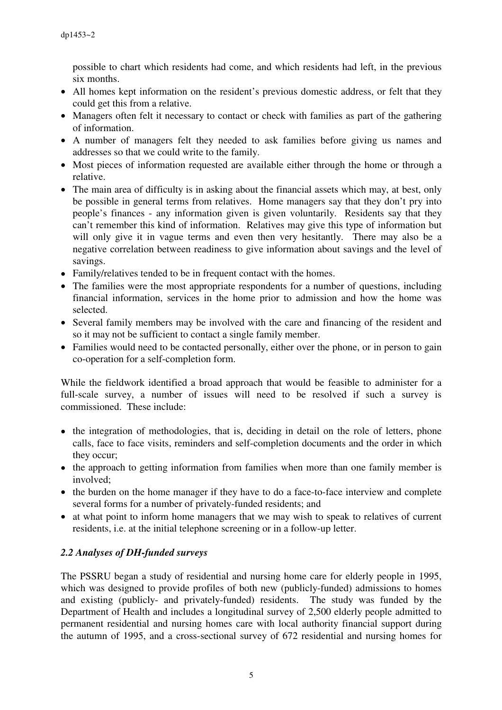possible to chart which residents had come, and which residents had left, in the previous six months.

- All homes kept information on the resident's previous domestic address, or felt that they could get this from a relative.
- Managers often felt it necessary to contact or check with families as part of the gathering of information.
- A number of managers felt they needed to ask families before giving us names and addresses so that we could write to the family.
- Most pieces of information requested are available either through the home or through a relative.
- The main area of difficulty is in asking about the financial assets which may, at best, only be possible in general terms from relatives. Home managers say that they don't pry into people's finances - any information given is given voluntarily. Residents say that they can't remember this kind of information. Relatives may give this type of information but will only give it in vague terms and even then very hesitantly. There may also be a negative correlation between readiness to give information about savings and the level of savings.
- Family/relatives tended to be in frequent contact with the homes.
- The families were the most appropriate respondents for a number of questions, including financial information, services in the home prior to admission and how the home was selected.
- Several family members may be involved with the care and financing of the resident and so it may not be sufficient to contact a single family member.
- Families would need to be contacted personally, either over the phone, or in person to gain co-operation for a self-completion form.

While the fieldwork identified a broad approach that would be feasible to administer for a full-scale survey, a number of issues will need to be resolved if such a survey is commissioned. These include:

- the integration of methodologies, that is, deciding in detail on the role of letters, phone calls, face to face visits, reminders and self-completion documents and the order in which they occur;
- the approach to getting information from families when more than one family member is involved;
- the burden on the home manager if they have to do a face-to-face interview and complete several forms for a number of privately-funded residents; and
- at what point to inform home managers that we may wish to speak to relatives of current residents, i.e. at the initial telephone screening or in a follow-up letter.

# *2.2 Analyses of DH-funded surveys*

The PSSRU began a study of residential and nursing home care for elderly people in 1995, which was designed to provide profiles of both new (publicly-funded) admissions to homes and existing (publicly- and privately-funded) residents. The study was funded by the Department of Health and includes a longitudinal survey of 2,500 elderly people admitted to permanent residential and nursing homes care with local authority financial support during the autumn of 1995, and a cross-sectional survey of 672 residential and nursing homes for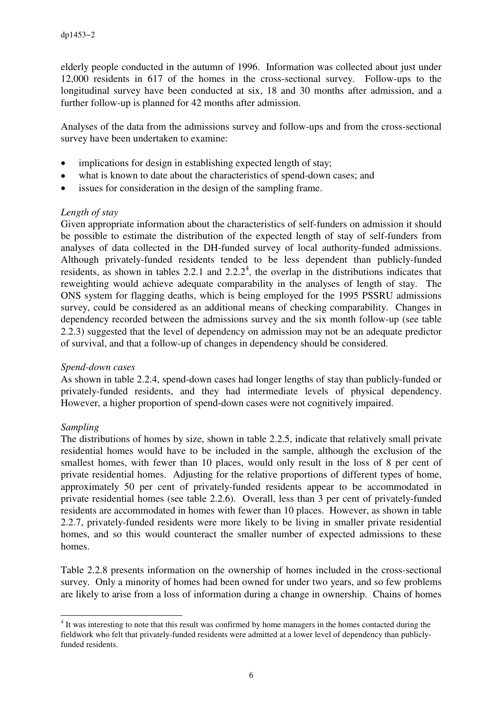elderly people conducted in the autumn of 1996. Information was collected about just under 12,000 residents in 617 of the homes in the cross-sectional survey. Follow-ups to the longitudinal survey have been conducted at six, 18 and 30 months after admission, and a further follow-up is planned for 42 months after admission.

Analyses of the data from the admissions survey and follow-ups and from the cross-sectional survey have been undertaken to examine:

- implications for design in establishing expected length of stay;
- what is known to date about the characteristics of spend-down cases; and
- issues for consideration in the design of the sampling frame.

#### *Length of stay*

Given appropriate information about the characteristics of self-funders on admission it should be possible to estimate the distribution of the expected length of stay of self-funders from analyses of data collected in the DH-funded survey of local authority-funded admissions. Although privately-funded residents tended to be less dependent than publicly-funded residents, as shown in tables 2.2.1 and  $2.2.2<sup>4</sup>$ , the overlap in the distributions indicates that reweighting would achieve adequate comparability in the analyses of length of stay. The ONS system for flagging deaths, which is being employed for the 1995 PSSRU admissions survey, could be considered as an additional means of checking comparability. Changes in dependency recorded between the admissions survey and the six month follow-up (see table 2.2.3) suggested that the level of dependency on admission may not be an adequate predictor of survival, and that a follow-up of changes in dependency should be considered.

#### *Spend-down cases*

As shown in table 2.2.4, spend-down cases had longer lengths of stay than publicly-funded or privately-funded residents, and they had intermediate levels of physical dependency. However, a higher proportion of spend-down cases were not cognitively impaired.

#### *Sampling*

 $\overline{a}$ 

The distributions of homes by size, shown in table 2.2.5, indicate that relatively small private residential homes would have to be included in the sample, although the exclusion of the smallest homes, with fewer than 10 places, would only result in the loss of 8 per cent of private residential homes. Adjusting for the relative proportions of different types of home, approximately 50 per cent of privately-funded residents appear to be accommodated in private residential homes (see table 2.2.6). Overall, less than 3 per cent of privately-funded residents are accommodated in homes with fewer than 10 places. However, as shown in table 2.2.7, privately-funded residents were more likely to be living in smaller private residential homes, and so this would counteract the smaller number of expected admissions to these homes.

Table 2.2.8 presents information on the ownership of homes included in the cross-sectional survey. Only a minority of homes had been owned for under two years, and so few problems are likely to arise from a loss of information during a change in ownership. Chains of homes

<sup>&</sup>lt;sup>4</sup> It was interesting to note that this result was confirmed by home managers in the homes contacted during the fieldwork who felt that privately-funded residents were admitted at a lower level of dependency than publiclyfunded residents.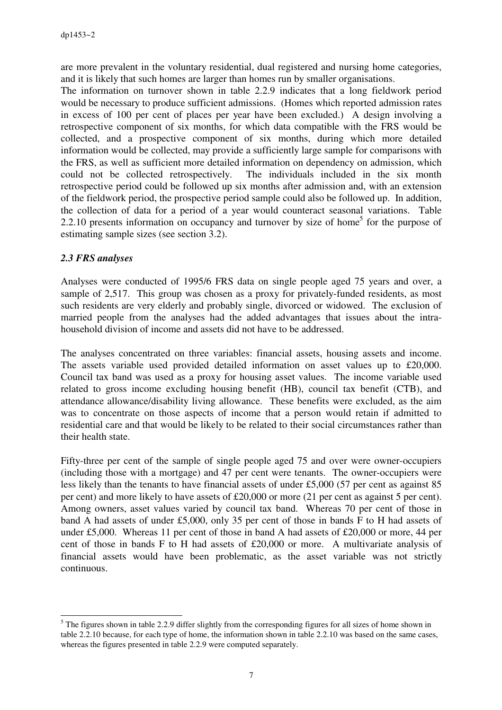are more prevalent in the voluntary residential, dual registered and nursing home categories, and it is likely that such homes are larger than homes run by smaller organisations.

The information on turnover shown in table 2.2.9 indicates that a long fieldwork period would be necessary to produce sufficient admissions. (Homes which reported admission rates in excess of 100 per cent of places per year have been excluded.) A design involving a retrospective component of six months, for which data compatible with the FRS would be collected, and a prospective component of six months, during which more detailed information would be collected, may provide a sufficiently large sample for comparisons with the FRS, as well as sufficient more detailed information on dependency on admission, which could not be collected retrospectively. The individuals included in the six month retrospective period could be followed up six months after admission and, with an extension of the fieldwork period, the prospective period sample could also be followed up. In addition, the collection of data for a period of a year would counteract seasonal variations. Table 2.2.10 presents information on occupancy and turnover by size of home<sup>5</sup> for the purpose of estimating sample sizes (see section 3.2).

#### *2.3 FRS analyses*

Analyses were conducted of 1995/6 FRS data on single people aged 75 years and over, a sample of 2,517. This group was chosen as a proxy for privately-funded residents, as most such residents are very elderly and probably single, divorced or widowed. The exclusion of married people from the analyses had the added advantages that issues about the intrahousehold division of income and assets did not have to be addressed.

The analyses concentrated on three variables: financial assets, housing assets and income. The assets variable used provided detailed information on asset values up to £20,000. Council tax band was used as a proxy for housing asset values. The income variable used related to gross income excluding housing benefit (HB), council tax benefit (CTB), and attendance allowance/disability living allowance. These benefits were excluded, as the aim was to concentrate on those aspects of income that a person would retain if admitted to residential care and that would be likely to be related to their social circumstances rather than their health state.

Fifty-three per cent of the sample of single people aged 75 and over were owner-occupiers (including those with a mortgage) and 47 per cent were tenants. The owner-occupiers were less likely than the tenants to have financial assets of under £5,000 (57 per cent as against 85 per cent) and more likely to have assets of £20,000 or more (21 per cent as against 5 per cent). Among owners, asset values varied by council tax band. Whereas 70 per cent of those in band A had assets of under £5,000, only 35 per cent of those in bands F to H had assets of under £5,000. Whereas 11 per cent of those in band A had assets of £20,000 or more, 44 per cent of those in bands F to H had assets of £20,000 or more. A multivariate analysis of financial assets would have been problematic, as the asset variable was not strictly continuous.

 $\overline{a}$  $<sup>5</sup>$  The figures shown in table 2.2.9 differ slightly from the corresponding figures for all sizes of home shown in</sup> table 2.2.10 because, for each type of home, the information shown in table 2.2.10 was based on the same cases, whereas the figures presented in table 2.2.9 were computed separately.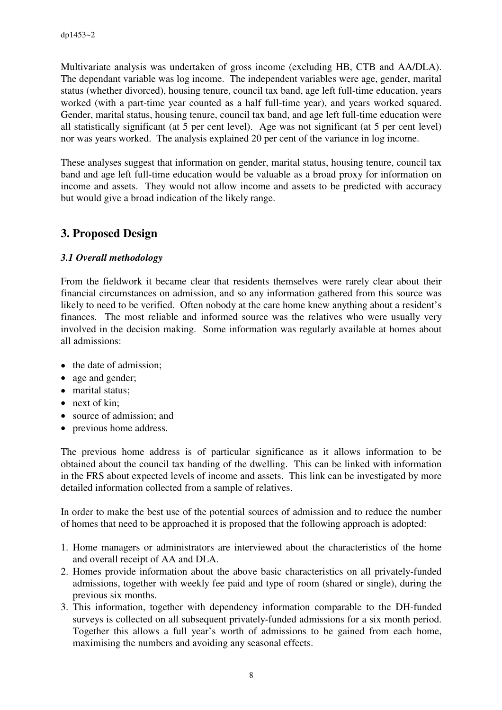Multivariate analysis was undertaken of gross income (excluding HB, CTB and AA/DLA). The dependant variable was log income. The independent variables were age, gender, marital status (whether divorced), housing tenure, council tax band, age left full-time education, years worked (with a part-time year counted as a half full-time year), and years worked squared. Gender, marital status, housing tenure, council tax band, and age left full-time education were all statistically significant (at 5 per cent level). Age was not significant (at 5 per cent level) nor was years worked. The analysis explained 20 per cent of the variance in log income.

These analyses suggest that information on gender, marital status, housing tenure, council tax band and age left full-time education would be valuable as a broad proxy for information on income and assets. They would not allow income and assets to be predicted with accuracy but would give a broad indication of the likely range.

# **3. Proposed Design**

#### *3.1 Overall methodology*

From the fieldwork it became clear that residents themselves were rarely clear about their financial circumstances on admission, and so any information gathered from this source was likely to need to be verified. Often nobody at the care home knew anything about a resident's finances. The most reliable and informed source was the relatives who were usually very involved in the decision making. Some information was regularly available at homes about all admissions:

- the date of admission;
- age and gender;
- marital status;
- next of kin;
- source of admission; and
- previous home address.

The previous home address is of particular significance as it allows information to be obtained about the council tax banding of the dwelling. This can be linked with information in the FRS about expected levels of income and assets. This link can be investigated by more detailed information collected from a sample of relatives.

In order to make the best use of the potential sources of admission and to reduce the number of homes that need to be approached it is proposed that the following approach is adopted:

- 1. Home managers or administrators are interviewed about the characteristics of the home and overall receipt of AA and DLA.
- 2. Homes provide information about the above basic characteristics on all privately-funded admissions, together with weekly fee paid and type of room (shared or single), during the previous six months.
- 3. This information, together with dependency information comparable to the DH-funded surveys is collected on all subsequent privately-funded admissions for a six month period. Together this allows a full year's worth of admissions to be gained from each home, maximising the numbers and avoiding any seasonal effects.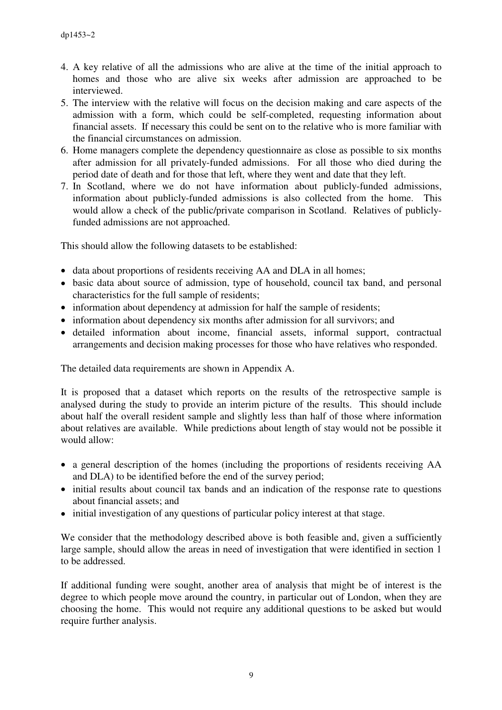- 4. A key relative of all the admissions who are alive at the time of the initial approach to homes and those who are alive six weeks after admission are approached to be interviewed.
- 5. The interview with the relative will focus on the decision making and care aspects of the admission with a form, which could be self-completed, requesting information about financial assets. If necessary this could be sent on to the relative who is more familiar with the financial circumstances on admission.
- 6. Home managers complete the dependency questionnaire as close as possible to six months after admission for all privately-funded admissions. For all those who died during the period date of death and for those that left, where they went and date that they left.
- 7. In Scotland, where we do not have information about publicly-funded admissions, information about publicly-funded admissions is also collected from the home. This would allow a check of the public/private comparison in Scotland. Relatives of publiclyfunded admissions are not approached.

This should allow the following datasets to be established:

- data about proportions of residents receiving AA and DLA in all homes;
- basic data about source of admission, type of household, council tax band, and personal characteristics for the full sample of residents;
- information about dependency at admission for half the sample of residents;
- information about dependency six months after admission for all survivors; and
- detailed information about income, financial assets, informal support, contractual arrangements and decision making processes for those who have relatives who responded.

The detailed data requirements are shown in Appendix A.

It is proposed that a dataset which reports on the results of the retrospective sample is analysed during the study to provide an interim picture of the results. This should include about half the overall resident sample and slightly less than half of those where information about relatives are available. While predictions about length of stay would not be possible it would allow:

- a general description of the homes (including the proportions of residents receiving AA and DLA) to be identified before the end of the survey period;
- initial results about council tax bands and an indication of the response rate to questions about financial assets; and
- initial investigation of any questions of particular policy interest at that stage.

We consider that the methodology described above is both feasible and, given a sufficiently large sample, should allow the areas in need of investigation that were identified in section 1 to be addressed.

If additional funding were sought, another area of analysis that might be of interest is the degree to which people move around the country, in particular out of London, when they are choosing the home. This would not require any additional questions to be asked but would require further analysis.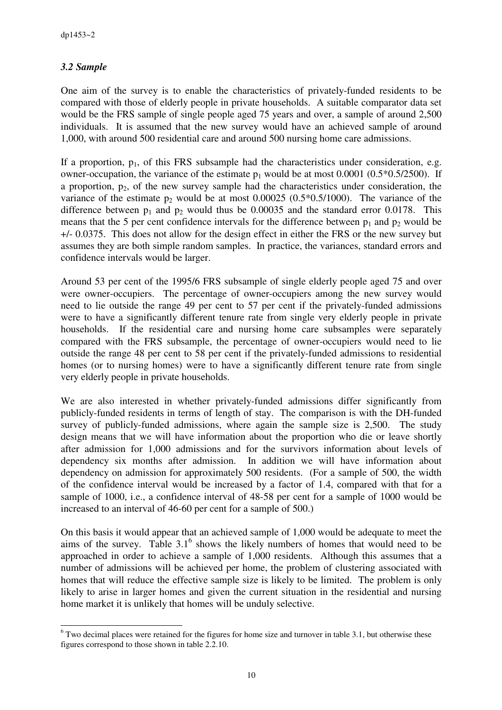## *3.2 Sample*

 $\overline{a}$ 

One aim of the survey is to enable the characteristics of privately-funded residents to be compared with those of elderly people in private households. A suitable comparator data set would be the FRS sample of single people aged 75 years and over, a sample of around 2,500 individuals. It is assumed that the new survey would have an achieved sample of around 1,000, with around 500 residential care and around 500 nursing home care admissions.

If a proportion,  $p_1$ , of this FRS subsample had the characteristics under consideration, e.g. owner-occupation, the variance of the estimate  $p_1$  would be at most 0.0001 (0.5 $*$ 0.5/2500). If a proportion,  $p_2$ , of the new survey sample had the characteristics under consideration, the variance of the estimate  $p_2$  would be at most 0.00025 (0.5 $*$ 0.5/1000). The variance of the difference between  $p_1$  and  $p_2$  would thus be 0.00035 and the standard error 0.0178. This means that the 5 per cent confidence intervals for the difference between  $p_1$  and  $p_2$  would be +/- 0.0375. This does not allow for the design effect in either the FRS or the new survey but assumes they are both simple random samples. In practice, the variances, standard errors and confidence intervals would be larger.

Around 53 per cent of the 1995/6 FRS subsample of single elderly people aged 75 and over were owner-occupiers. The percentage of owner-occupiers among the new survey would need to lie outside the range 49 per cent to 57 per cent if the privately-funded admissions were to have a significantly different tenure rate from single very elderly people in private households. If the residential care and nursing home care subsamples were separately compared with the FRS subsample, the percentage of owner-occupiers would need to lie outside the range 48 per cent to 58 per cent if the privately-funded admissions to residential homes (or to nursing homes) were to have a significantly different tenure rate from single very elderly people in private households.

We are also interested in whether privately-funded admissions differ significantly from publicly-funded residents in terms of length of stay. The comparison is with the DH-funded survey of publicly-funded admissions, where again the sample size is 2,500. The study design means that we will have information about the proportion who die or leave shortly after admission for 1,000 admissions and for the survivors information about levels of dependency six months after admission. In addition we will have information about dependency on admission for approximately 500 residents. (For a sample of 500, the width of the confidence interval would be increased by a factor of 1.4, compared with that for a sample of 1000, i.e., a confidence interval of 48-58 per cent for a sample of 1000 would be increased to an interval of 46-60 per cent for a sample of 500.)

On this basis it would appear that an achieved sample of 1,000 would be adequate to meet the aims of the survey. Table  $3.1<sup>6</sup>$  shows the likely numbers of homes that would need to be approached in order to achieve a sample of 1,000 residents. Although this assumes that a number of admissions will be achieved per home, the problem of clustering associated with homes that will reduce the effective sample size is likely to be limited. The problem is only likely to arise in larger homes and given the current situation in the residential and nursing home market it is unlikely that homes will be unduly selective.

 $6$  Two decimal places were retained for the figures for home size and turnover in table 3.1, but otherwise these figures correspond to those shown in table 2.2.10.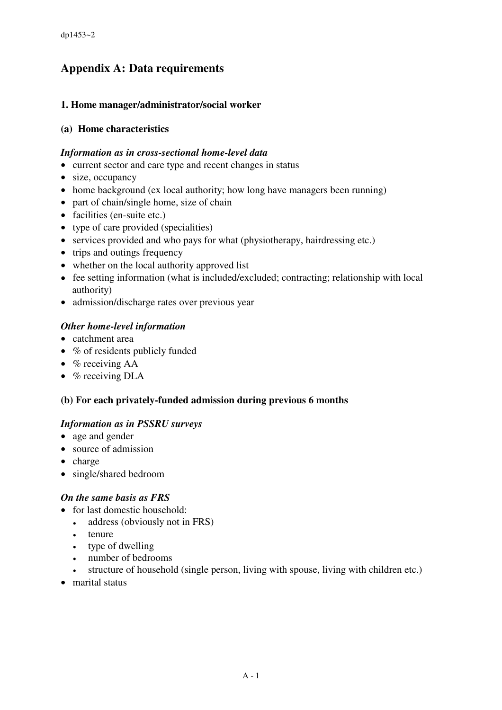# **Appendix A: Data requirements**

#### **1. Home manager/administrator/social worker**

#### **(a) Home characteristics**

#### *Information as in cross-sectional home-level data*

- current sector and care type and recent changes in status
- size, occupancy
- home background (ex local authority; how long have managers been running)
- part of chain/single home, size of chain
- facilities (en-suite etc.)
- type of care provided (specialities)
- services provided and who pays for what (physiotherapy, hairdressing etc.)
- trips and outings frequency
- whether on the local authority approved list
- fee setting information (what is included/excluded; contracting; relationship with local authority)
- admission/discharge rates over previous year

#### *Other home-level information*

- catchment area
- % of residents publicly funded
- $%$  receiving AA
- $%$  receiving DLA

#### **(b) For each privately-funded admission during previous 6 months**

#### *Information as in PSSRU surveys*

- age and gender
- source of admission
- charge
- single/shared bedroom

#### *On the same basis as FRS*

- for last domestic household:
	- address (obviously not in FRS)
	- tenure
	- type of dwelling
	- number of bedrooms
	- structure of household (single person, living with spouse, living with children etc.)
- marital status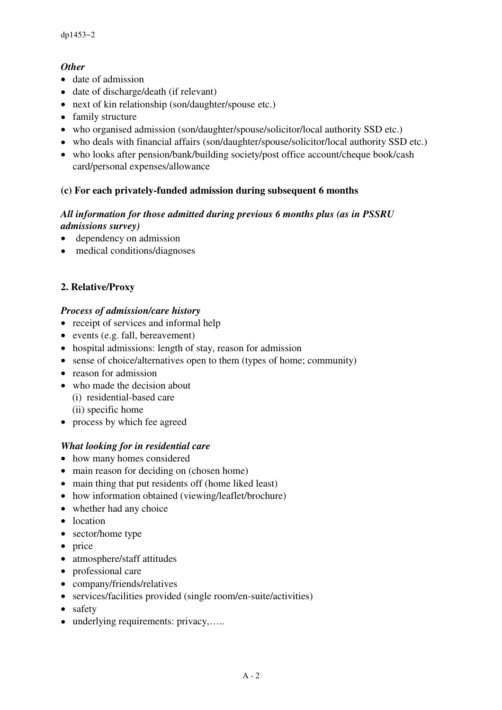## *Other*

- date of admission
- date of discharge/death (if relevant)
- next of kin relationship (son/daughter/spouse etc.)
- family structure
- who organised admission (son/daughter/spouse/solicitor/local authority SSD etc.)
- who deals with financial affairs (son/daughter/spouse/solicitor/local authority SSD etc.)
- who looks after pension/bank/building society/post office account/cheque book/cash card/personal expenses/allowance

## **(c) For each privately-funded admission during subsequent 6 months**

#### *All information for those admitted during previous 6 months plus (as in PSSRU admissions survey)*

- dependency on admission
- medical conditions/diagnoses

# **2. Relative/Proxy**

#### *Process of admission/care history*

- receipt of services and informal help
- events (e.g. fall, bereavement)
- hospital admissions: length of stay, reason for admission
- sense of choice/alternatives open to them (types of home; community)
- reason for admission
- who made the decision about
	- (i) residential-based care
	- (ii) specific home
- process by which fee agreed

#### *What looking for in residential care*

- how many homes considered
- main reason for deciding on (chosen home)
- main thing that put residents off (home liked least)
- how information obtained (viewing/leaflet/brochure)
- whether had any choice
- location
- sector/home type
- price
- atmosphere/staff attitudes
- professional care
- company/friends/relatives
- services/facilities provided (single room/en-suite/activities)
- safety
- underlying requirements: privacy,.....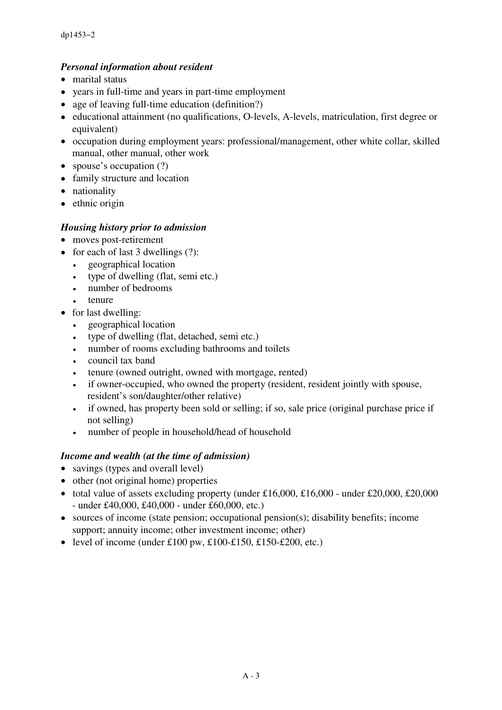## *Personal information about resident*

- marital status
- years in full-time and years in part-time employment
- age of leaving full-time education (definition?)
- educational attainment (no qualifications, O-levels, A-levels, matriculation, first degree or equivalent)
- occupation during employment years: professional/management, other white collar, skilled manual, other manual, other work
- spouse's occupation (?)
- family structure and location
- nationality
- ethnic origin

#### *Housing history prior to admission*

- moves post-retirement
- for each of last 3 dwellings (?):
	- geographical location
	- type of dwelling (flat, semi etc.)
	- number of bedrooms
	- tenure
- for last dwelling:
	- geographical location
	- type of dwelling (flat, detached, semi etc.)
	- number of rooms excluding bathrooms and toilets
	- council tax band
	- tenure (owned outright, owned with mortgage, rented)
	- if owner-occupied, who owned the property (resident, resident jointly with spouse, resident's son/daughter/other relative)
	- if owned, has property been sold or selling; if so, sale price (original purchase price if not selling)
	- number of people in household/head of household

#### *Income and wealth (at the time of admission)*

- savings (types and overall level)
- other (not original home) properties
- total value of assets excluding property (under £16,000, £16,000 under £20,000, £20,000 - under £40,000, £40,000 - under £60,000, etc.)
- sources of income (state pension; occupational pension(s); disability benefits; income support; annuity income; other investment income; other)
- level of income (under £100 pw,  $£100-f150,f150-f200,$  etc.)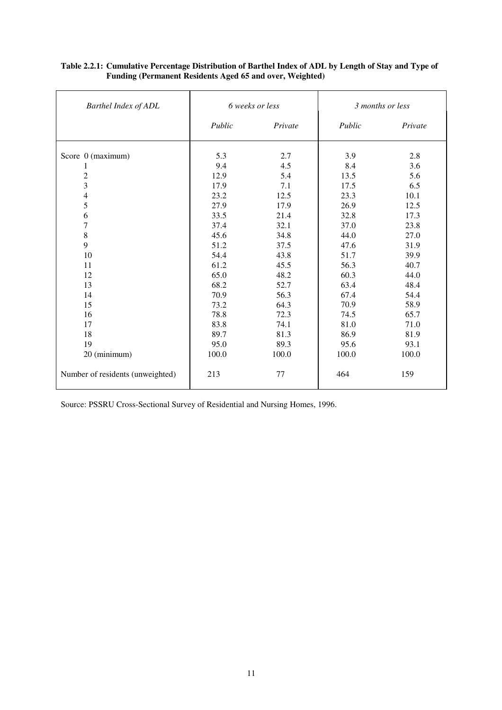| Barthel Index of ADL                                                                                                                                     |                                                                                                                    | 6 weeks or less                                                                                                  |                                                                                                                    | 3 months or less                                                                                                 |
|----------------------------------------------------------------------------------------------------------------------------------------------------------|--------------------------------------------------------------------------------------------------------------------|------------------------------------------------------------------------------------------------------------------|--------------------------------------------------------------------------------------------------------------------|------------------------------------------------------------------------------------------------------------------|
|                                                                                                                                                          | Public                                                                                                             | Private                                                                                                          | Public                                                                                                             | Private                                                                                                          |
| Score 0 (maximum)<br>$\overline{c}$<br>$\overline{\mathbf{3}}$<br>$\overline{4}$<br>5<br>6<br>$\overline{7}$<br>8<br>9<br>$10\,$<br>11<br>12<br>13<br>14 | 5.3<br>9.4<br>12.9<br>17.9<br>23.2<br>27.9<br>33.5<br>37.4<br>45.6<br>51.2<br>54.4<br>61.2<br>65.0<br>68.2<br>70.9 | 2.7<br>4.5<br>5.4<br>7.1<br>12.5<br>17.9<br>21.4<br>32.1<br>34.8<br>37.5<br>43.8<br>45.5<br>48.2<br>52.7<br>56.3 | 3.9<br>8.4<br>13.5<br>17.5<br>23.3<br>26.9<br>32.8<br>37.0<br>44.0<br>47.6<br>51.7<br>56.3<br>60.3<br>63.4<br>67.4 | 2.8<br>3.6<br>5.6<br>6.5<br>10.1<br>12.5<br>17.3<br>23.8<br>27.0<br>31.9<br>39.9<br>40.7<br>44.0<br>48.4<br>54.4 |
| 15<br>16<br>17<br>18<br>19<br>20 (minimum)                                                                                                               | 73.2<br>78.8<br>83.8<br>89.7<br>95.0<br>100.0                                                                      | 64.3<br>72.3<br>74.1<br>81.3<br>89.3<br>100.0                                                                    | 70.9<br>74.5<br>81.0<br>86.9<br>95.6<br>100.0                                                                      | 58.9<br>65.7<br>71.0<br>81.9<br>93.1<br>100.0                                                                    |
| Number of residents (unweighted)                                                                                                                         | 213                                                                                                                | 77                                                                                                               | 464                                                                                                                | 159                                                                                                              |

#### **Table 2.2.1: Cumulative Percentage Distribution of Barthel Index of ADL by Length of Stay and Type of Funding (Permanent Residents Aged 65 and over, Weighted)**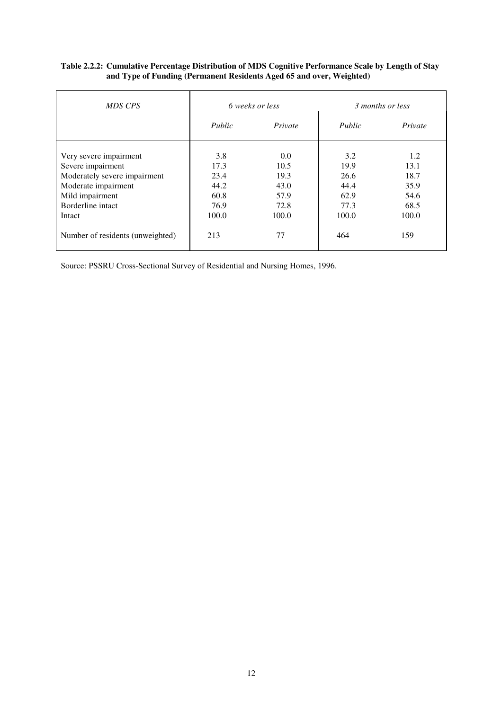| Table 2.2.2: Cumulative Percentage Distribution of MDS Cognitive Performance Scale by Length of Stay |  |
|------------------------------------------------------------------------------------------------------|--|
| and Type of Funding (Permanent Residents Aged 65 and over, Weighted)                                 |  |

| MDS CPS                                                                                                                                              |                                                      | 6 weeks or less                                      |                                                      | 3 months or less                                     |
|------------------------------------------------------------------------------------------------------------------------------------------------------|------------------------------------------------------|------------------------------------------------------|------------------------------------------------------|------------------------------------------------------|
|                                                                                                                                                      | Public                                               | Private                                              | Public                                               | Private                                              |
| Very severe impairment<br>Severe impairment<br>Moderately severe impairment<br>Moderate impairment<br>Mild impairment<br>Borderline intact<br>Intact | 3.8<br>17.3<br>23.4<br>44.2<br>60.8<br>76.9<br>100.0 | 0.0<br>10.5<br>19.3<br>43.0<br>57.9<br>72.8<br>100.0 | 3.2<br>19.9<br>26.6<br>44.4<br>62.9<br>77.3<br>100.0 | 1.2<br>13.1<br>18.7<br>35.9<br>54.6<br>68.5<br>100.0 |
| Number of residents (unweighted)                                                                                                                     | 213                                                  | 77                                                   | 464                                                  | 159                                                  |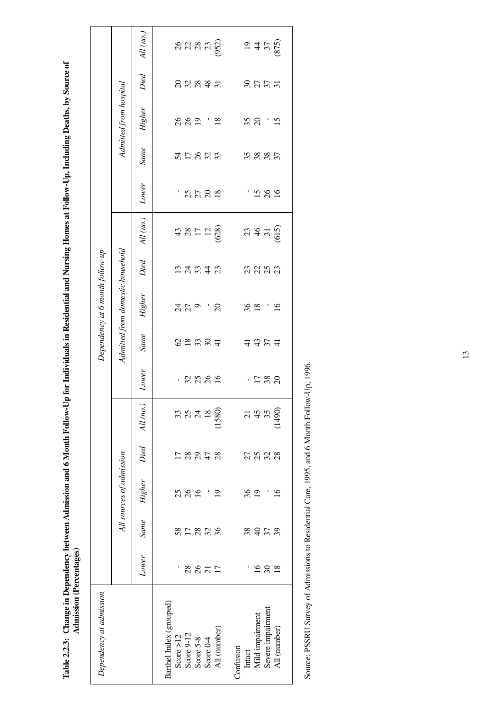Table 2.2.3: Change in Dependency between Admission and 6 Month Follow-Up for Individuals in Residential and Nursing Homes at Follow-Up, Including Deaths, by Source of<br>Admission (Percentages) **Table 2.2.3: Change in Dependency between Admission and 6 Month Follow-Up for Individuals in Residential and Nursing Homes at Follow-Up, Including Deaths, by Source of Admission (Percentages)**

| Dependency at admission |                |             |                          |                    |                 |              |             | Dependency at 6 month follow-up  |                                                        |                   |       |             |                        |       |                              |
|-------------------------|----------------|-------------|--------------------------|--------------------|-----------------|--------------|-------------|----------------------------------|--------------------------------------------------------|-------------------|-------|-------------|------------------------|-------|------------------------------|
|                         |                |             | All sources of admission |                    |                 |              |             | Admitted from domestic household |                                                        |                   |       |             | Admitted from hospital |       |                              |
|                         | Lower          | <b>Same</b> | <b>Higher</b>            |                    | Died All (no.)  | Lower        | <b>Same</b> | <b>Higher</b>                    | Died                                                   | $All$ (no.)       | Lower | <b>Same</b> | Higher                 | Died  | $All$ (no.)                  |
| Barthel Index (grouped) |                |             |                          |                    |                 |              |             |                                  |                                                        |                   |       |             |                        |       |                              |
| Score $>12$             |                |             |                          |                    |                 |              |             |                                  |                                                        |                   |       |             |                        |       |                              |
| Score 9-12              |                | 852888      | 25                       |                    | ಣ ಇ ಸ           | $-25889$     |             | 279                              | $\begin{array}{c}\n 2 \\  3 \\  4 \\  5\n \end{array}$ |                   | 18722 | 512823      | 882 ' 2                | 88887 |                              |
| Score 5-8               | 28871          |             | $\overline{16}$          | 8978               |                 |              |             |                                  |                                                        |                   |       |             |                        |       |                              |
| Score 0-4               |                |             |                          |                    | $\overline{18}$ |              |             |                                  |                                                        |                   |       |             |                        |       |                              |
| All (number)            |                |             | ഉ                        |                    | 1580)           |              |             |                                  |                                                        | $435128$<br>$528$ |       |             |                        |       | 83332                        |
| Confusion               |                |             |                          |                    |                 |              |             |                                  |                                                        |                   |       |             |                        |       |                              |
| Intact                  |                |             | 36                       |                    |                 | $\mathbf{r}$ |             |                                  |                                                        |                   |       |             |                        |       |                              |
| Mild impairment         | $\tilde{1}$    | 8958        | $\overline{0}$           | 2 3 3 3<br>2 3 3 3 | 745             |              | 4324        | $38 - 16$                        | ង ង ង ង                                                |                   | 1580  | 38807       | $38'$ $\cdot$ 5        | 3577  |                              |
| Severe impairment       | $\mathcal{S}$  |             |                          |                    |                 | 1780         |             |                                  |                                                        |                   |       |             |                        |       |                              |
| All (number)            | $\frac{8}{18}$ |             | ∘                        |                    | (1490)          |              |             |                                  |                                                        | $23 + 50$<br>$65$ |       |             |                        |       | $19$<br>47<br>37<br>37<br>50 |
|                         |                |             |                          |                    |                 |              |             |                                  |                                                        |                   |       |             |                        |       |                              |

Source: PSSRU Survey of Admissions to Residential Care, 1995, and 6 Month Follow-Up, 1996. Source: PSSRU Survey of Admissions to Residential Care, 1995, and 6 Month Follow-Up, 1996.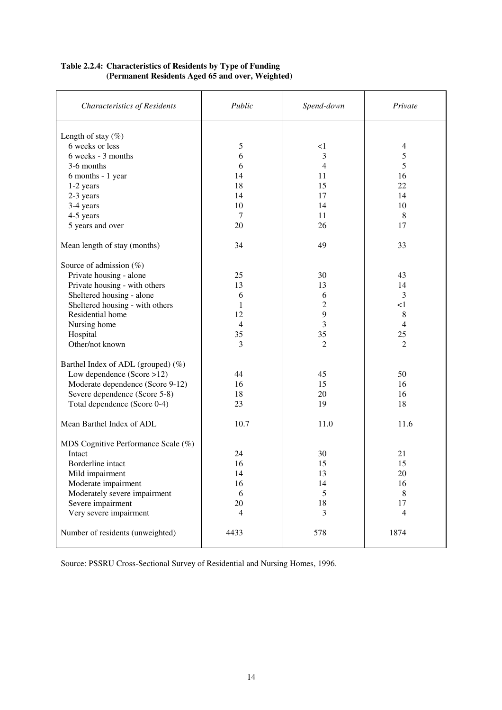| <b>Characteristics of Residents</b> | Public         | Spend-down     | Private        |
|-------------------------------------|----------------|----------------|----------------|
| Length of stay $(\%)$               |                |                |                |
| 6 weeks or less                     | 5              | <1             | 4              |
| 6 weeks - 3 months                  | 6              | 3              | 5              |
| 3-6 months                          | 6              | $\overline{4}$ | 5              |
| 6 months - 1 year                   | 14             | 11             | 16             |
| 1-2 years                           | 18             | 15             | 22             |
| 2-3 years                           | 14             | 17             | 14             |
| 3-4 years                           | 10             | 14             | 10             |
| 4-5 years                           | 7              | 11             | $\,8\,$        |
| 5 years and over                    | 20             | 26             | 17             |
| Mean length of stay (months)        | 34             | 49             | 33             |
| Source of admission $(\%)$          |                |                |                |
| Private housing - alone             | 25             | 30             | 43             |
| Private housing - with others       | 13             | 13             | 14             |
| Sheltered housing - alone           | 6              | 6              | 3              |
| Sheltered housing - with others     | 1              | 2              | <1             |
| Residential home                    | 12             | 9              | 8              |
| Nursing home                        | $\overline{4}$ | 3              | 4              |
| Hospital                            | 35             | 35             | 25             |
| Other/not known                     | 3              | $\overline{2}$ | $\overline{2}$ |
| Barthel Index of ADL (grouped) (%)  |                |                |                |
| Low dependence (Score >12)          | 44             | 45             | 50             |
| Moderate dependence (Score 9-12)    | 16             | 15             | 16             |
| Severe dependence (Score 5-8)       | 18             | 20             | 16             |
| Total dependence (Score 0-4)        | 23             | 19             | 18             |
| Mean Barthel Index of ADL           | 10.7           | 11.0           | 11.6           |
| MDS Cognitive Performance Scale (%) |                |                |                |
| Intact                              | 24             | 30             | 21             |
| Borderline intact                   | 16             | 15             | 15             |
| Mild impairment                     | 14             | 13             | 20             |
| Moderate impairment                 | 16             | 14             | 16             |
| Moderately severe impairment        | 6              | 5              | 8              |
| Severe impairment                   | 20             | 18             | 17             |
| Very severe impairment              | 4              | 3              | $\overline{4}$ |
| Number of residents (unweighted)    | 4433           | 578            | 1874           |

#### **Table 2.2.4: Characteristics of Residents by Type of Funding (Permanent Residents Aged 65 and over, Weighted)**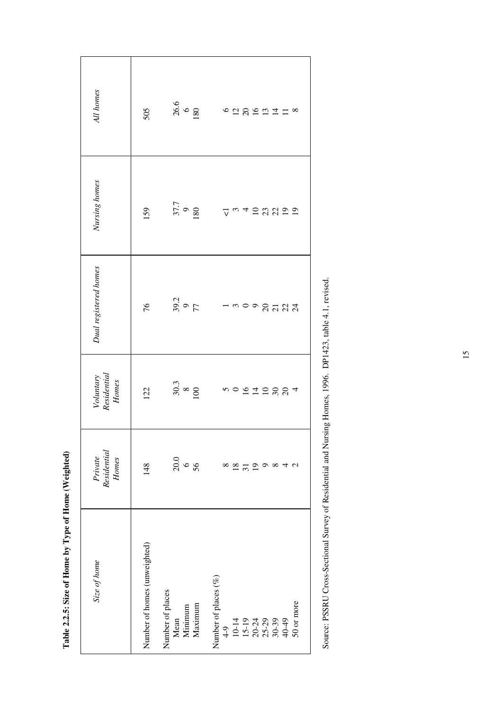| All homes                         | 505                          | $\begin{array}{r} 26.6 \\ 6 \\ 180 \end{array}$ | $6289277$<br>$\infty$                                                                                              |
|-----------------------------------|------------------------------|-------------------------------------------------|--------------------------------------------------------------------------------------------------------------------|
| Nursing homes                     | 159                          | $\begin{array}{c} 37.7 \\ 9 \\ 180 \end{array}$ | $7^{\circ}$ $\sim$ $4^{\circ}$ $\approx$ $2^{\circ}$ $\approx$ $2^{\circ}$ $\approx$                               |
| Dual registered homes             | 76                           | $39.2$<br>$77$                                  | 10008777                                                                                                           |
| Voluntary<br>Residential<br>Homes | 122                          | $30.3$<br>$100$                                 | 500972884                                                                                                          |
| Residential<br>Private<br>Homes   | 148                          | $20.0$<br>56                                    | $\infty$<br>్<br>$\infty$                                                                                          |
| Size of home                      | Number of homes (unweighted) | Number of places<br>Mean<br>Minimum<br>Maximum  | Number of places (%)<br>50 or more<br>$49$<br>$129$<br>$159$<br>$169$<br>$169$<br>$169$<br>$169$<br>$169$<br>$169$ |

Source: PSSRU Cross-Sectional Survey of Residential and Nursing Homes, 1996. DP1423, table 4.1, revised. Source: PSSRU Cross-Sectional Survey of Residential and Nursing Homes, 1996. DP1423, table 4.1, revised.

# Table 2.2.5: Size of Home by Type of Home (Weighted) **Table 2.2.5: Size of Home by Type of Home (Weighted)**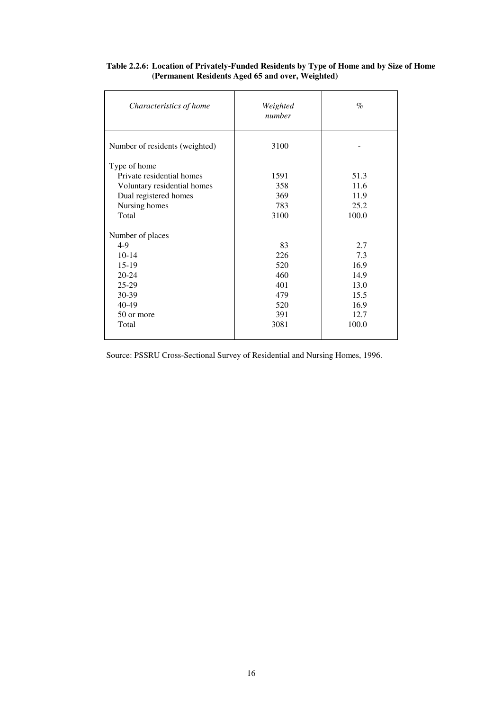| Characteristics of home        | Weighted<br>number | $\%$  |
|--------------------------------|--------------------|-------|
| Number of residents (weighted) | 3100               |       |
| Type of home                   |                    |       |
| Private residential homes      | 1591               | 51.3  |
| Voluntary residential homes    | 358                | 11.6  |
| Dual registered homes          | 369                | 11.9  |
| Nursing homes                  | 783                | 25.2  |
| Total                          | 3100               | 100.0 |
| Number of places               |                    |       |
| $4-9$                          | 83                 | 2.7   |
| $10-14$                        | 226                | 7.3   |
| $15-19$                        | 520                | 16.9  |
| $20 - 24$                      | 460                | 14.9  |
| $25-29$                        | 401                | 13.0  |
| 30-39                          | 479                | 15.5  |
| 40-49                          | 520                | 16.9  |
| 50 or more                     | 391                | 12.7  |
| Total                          | 3081               | 100.0 |

#### **Table 2.2.6: Location of Privately-Funded Residents by Type of Home and by Size of Home (Permanent Residents Aged 65 and over, Weighted)**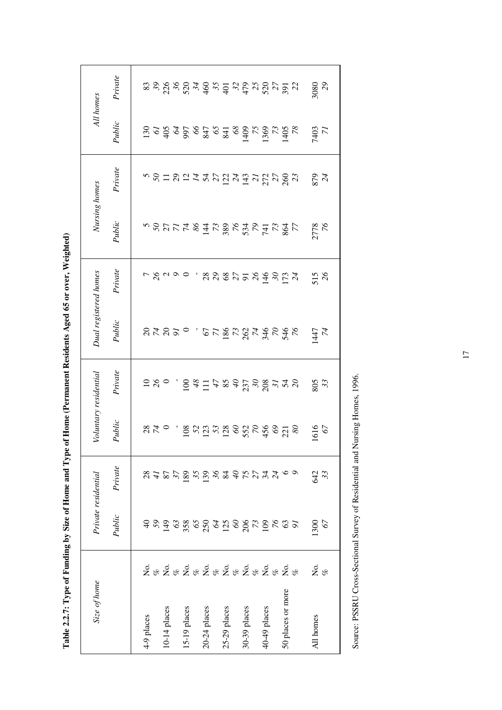| Size of home      |                                   | Private residential                                                 | Voluntary residential |                                               | Dual registered homes |                             | Nursing homes     |           |                                                                                                                                                                                                                                                                                                                                                                                                                                                           | All homes                                                                                                                                                                                                                                                                                                                                                                                                                   |
|-------------------|-----------------------------------|---------------------------------------------------------------------|-----------------------|-----------------------------------------------|-----------------------|-----------------------------|-------------------|-----------|-----------------------------------------------------------------------------------------------------------------------------------------------------------------------------------------------------------------------------------------------------------------------------------------------------------------------------------------------------------------------------------------------------------------------------------------------------------|-----------------------------------------------------------------------------------------------------------------------------------------------------------------------------------------------------------------------------------------------------------------------------------------------------------------------------------------------------------------------------------------------------------------------------|
|                   | Public                            | Private                                                             | Public                | Private                                       | Public                | Private                     | Public            | Private   | Public                                                                                                                                                                                                                                                                                                                                                                                                                                                    | Private                                                                                                                                                                                                                                                                                                                                                                                                                     |
|                   |                                   |                                                                     |                       |                                               |                       |                             |                   |           |                                                                                                                                                                                                                                                                                                                                                                                                                                                           |                                                                                                                                                                                                                                                                                                                                                                                                                             |
|                   |                                   |                                                                     |                       |                                               |                       |                             |                   |           |                                                                                                                                                                                                                                                                                                                                                                                                                                                           |                                                                                                                                                                                                                                                                                                                                                                                                                             |
|                   |                                   |                                                                     |                       |                                               |                       |                             |                   |           |                                                                                                                                                                                                                                                                                                                                                                                                                                                           |                                                                                                                                                                                                                                                                                                                                                                                                                             |
|                   |                                   |                                                                     |                       |                                               |                       |                             |                   |           |                                                                                                                                                                                                                                                                                                                                                                                                                                                           |                                                                                                                                                                                                                                                                                                                                                                                                                             |
| 28828282828282828 | ទន្ទន្ទន្ទន្ទន្ទដ្ឋានន្ទន្ទន្ទន្ទ | $\begin{array}{c} 8.48998998797744 \\ 8.42999998497744 \end{array}$ | 870 - 8725886586858   | $\begin{array}{c}\n0.80 \\ 0.70\n\end{array}$ | 84820 - 65285855656   | 5 2 3 3 4 5 6 7 8 7 8 7 8 7 | NBULTSHURSKER TUR |           | $\frac{18}{2} \times \frac{18}{2} \times \frac{18}{2} \times \frac{18}{2} \times \frac{18}{2} \times \frac{18}{2} \times \frac{18}{2} \times \frac{18}{2} \times \frac{18}{2} \times \frac{18}{2} \times \frac{18}{2} \times \frac{18}{2} \times \frac{18}{2} \times \frac{18}{2} \times \frac{18}{2} \times \frac{18}{2} \times \frac{18}{2} \times \frac{18}{2} \times \frac{18}{2} \times \frac{18}{2} \times \frac{18}{2} \times \frac{18}{2} \times$ | $\begin{array}{l} \mathbb{Z} \mathbb{Z} \mathbb{Z} \mathbb{Z} \mathbb{Z} \mathbb{Z} \mathbb{Z} \mathbb{Z} \mathbb{Z} \mathbb{Z} \mathbb{Z} \mathbb{Z} \mathbb{Z} \mathbb{Z} \mathbb{Z} \mathbb{Z} \mathbb{Z} \mathbb{Z} \mathbb{Z} \mathbb{Z} \mathbb{Z} \mathbb{Z} \mathbb{Z} \mathbb{Z} \mathbb{Z} \mathbb{Z} \mathbb{Z} \mathbb{Z} \mathbb{Z} \mathbb{Z} \mathbb{Z} \mathbb{Z} \mathbb{Z} \mathbb{Z} \mathbb{Z} \mathbb$ |
|                   |                                   |                                                                     |                       |                                               |                       |                             |                   |           |                                                                                                                                                                                                                                                                                                                                                                                                                                                           |                                                                                                                                                                                                                                                                                                                                                                                                                             |
|                   |                                   |                                                                     |                       |                                               |                       |                             |                   |           |                                                                                                                                                                                                                                                                                                                                                                                                                                                           |                                                                                                                                                                                                                                                                                                                                                                                                                             |
|                   |                                   |                                                                     |                       |                                               |                       |                             |                   |           |                                                                                                                                                                                                                                                                                                                                                                                                                                                           |                                                                                                                                                                                                                                                                                                                                                                                                                             |
|                   |                                   |                                                                     |                       |                                               |                       |                             |                   |           |                                                                                                                                                                                                                                                                                                                                                                                                                                                           |                                                                                                                                                                                                                                                                                                                                                                                                                             |
|                   |                                   |                                                                     |                       |                                               |                       |                             |                   |           |                                                                                                                                                                                                                                                                                                                                                                                                                                                           |                                                                                                                                                                                                                                                                                                                                                                                                                             |
|                   |                                   |                                                                     |                       |                                               |                       |                             |                   |           |                                                                                                                                                                                                                                                                                                                                                                                                                                                           |                                                                                                                                                                                                                                                                                                                                                                                                                             |
|                   |                                   |                                                                     |                       |                                               |                       |                             |                   |           |                                                                                                                                                                                                                                                                                                                                                                                                                                                           |                                                                                                                                                                                                                                                                                                                                                                                                                             |
|                   |                                   |                                                                     |                       |                                               |                       |                             |                   |           |                                                                                                                                                                                                                                                                                                                                                                                                                                                           |                                                                                                                                                                                                                                                                                                                                                                                                                             |
|                   |                                   |                                                                     |                       |                                               |                       |                             |                   |           |                                                                                                                                                                                                                                                                                                                                                                                                                                                           |                                                                                                                                                                                                                                                                                                                                                                                                                             |
|                   |                                   |                                                                     |                       |                                               |                       |                             |                   |           |                                                                                                                                                                                                                                                                                                                                                                                                                                                           |                                                                                                                                                                                                                                                                                                                                                                                                                             |
|                   |                                   |                                                                     |                       |                                               |                       |                             |                   |           |                                                                                                                                                                                                                                                                                                                                                                                                                                                           |                                                                                                                                                                                                                                                                                                                                                                                                                             |
|                   | .300                              |                                                                     |                       |                                               |                       |                             |                   |           |                                                                                                                                                                                                                                                                                                                                                                                                                                                           |                                                                                                                                                                                                                                                                                                                                                                                                                             |
| $\frac{6}{8}$     | 67                                | 82<br>33                                                            | 616<br>67             | 805<br>33                                     | 747                   | $\frac{515}{26}$            | 2778<br>76        | 879<br>24 | 7403<br>71                                                                                                                                                                                                                                                                                                                                                                                                                                                | 8080<br>29                                                                                                                                                                                                                                                                                                                                                                                                                  |
|                   |                                   |                                                                     |                       |                                               |                       |                             |                   |           |                                                                                                                                                                                                                                                                                                                                                                                                                                                           |                                                                                                                                                                                                                                                                                                                                                                                                                             |

Table 2.2.7: Type of Funding by Size of Home and Type of Home (Permanent Residents Aged 65 or over, Weighted) **Table 2.2.7: Type of Funding by Size of Home and Type of Home (Permanent Residents Aged 65 or over, Weighted)**

Source: PSSRU Cross-Sectional Survey of Residential and Nursing Homes, 1996. Source: PSSRU Cross-Sectional Survey of Residential and Nursing Homes, 1996.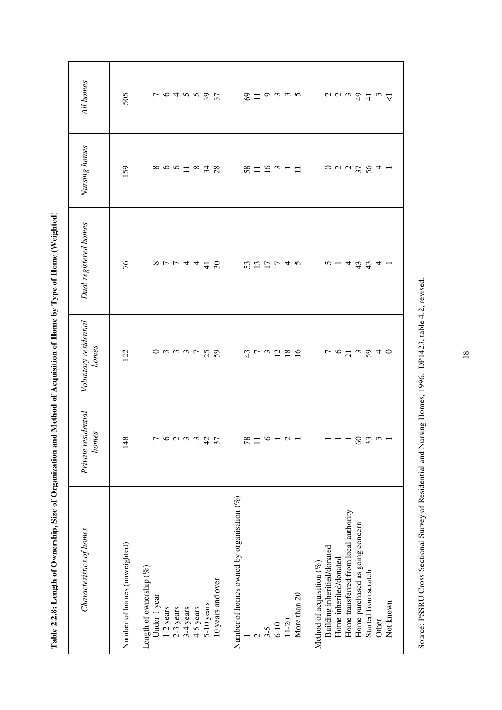| -<br>-<br>-<br>-<br>)<br> <br> <br> <br>                                                                                    |
|-----------------------------------------------------------------------------------------------------------------------------|
| <br> <br> <br>ı<br>5<br>֧֢֢ׅ֚֚֚֚֚֚֚֚֚֚֚֚֚֚֚֚֚֬֡֡֡֓֡֡֓֡                                                                      |
| ĺ<br>I                                                                                                                      |
| $\vdots$<br>l                                                                                                               |
| l                                                                                                                           |
|                                                                                                                             |
|                                                                                                                             |
|                                                                                                                             |
|                                                                                                                             |
| J<br>l<br>١                                                                                                                 |
|                                                                                                                             |
| i<br>I<br>I<br>I<br>j<br>l                                                                                                  |
| $\mathbf{d}^{\mathbf{f}}$                                                                                                   |
| í<br>I<br>١<br>j<br>֖֖֚֚֚֚֚֚֚֚֡֝֝                                                                                           |
| ׇ֠                                                                                                                          |
| ֚֚֚<br>֖֧֧֧֧֧֧֧֧֧֧֧֧֧֧֧֧֧֧֪֛֚֚֚֚֚֚֚֚֚֚֚֚֚֚֚֚֚֚֚֚֓֝֝֝֓֝֓֝֟֓֝֬֝֓֝֬֝֓֝֬֝֬֝֬֝֬֝֬֝֬֝֬֝֬֝֬֝֬֝֬֝֬<br>֧֧֧֚֚֚֚֚֚֚֝֝֝֟<br>ć<br>ľ<br>֠ |

| All homes                      | 505                          | <b>183597</b>                                                                                                                       | $\circledcirc$ $\Xi$ $\circ$ $\circ$ $\circ$ $\circ$                                                     | $\begin{array}{c}\n\alpha & \alpha & \alpha \\ \alpha & \beta & \alpha\n\end{array}$                                                                                                                         |
|--------------------------------|------------------------------|-------------------------------------------------------------------------------------------------------------------------------------|----------------------------------------------------------------------------------------------------------|--------------------------------------------------------------------------------------------------------------------------------------------------------------------------------------------------------------|
| Nursing homes                  | 159                          |                                                                                                                                     | $87199 - 1$                                                                                              |                                                                                                                                                                                                              |
| Dual registered homes          | 94                           | $80 - 4449$                                                                                                                         | $\begin{array}{c} 0.71 \rightarrow 0 \\ 0.71 \rightarrow 0 \\ 0.71 \rightarrow 0 \end{array}$            | $n - 433$<br>$\boldsymbol{\mathcal{A}}$                                                                                                                                                                      |
| Voluntary residential<br>homes | 122                          | $\circ$ m m m m $\sim$ $\sim$ $\sim$                                                                                                | $\begin{array}{c} \alpha \rightarrow \alpha \\ \alpha \rightarrow \alpha \end{array}$                    |                                                                                                                                                                                                              |
| Private residential<br>homes   | 148                          | $\overline{ }$<br>600004<br>$\overline{\mathcal{E}}$                                                                                | 78<br>$\equiv$<br>$\circ$<br>$-$ 0 $-$                                                                   | $\pmb{\mathcal{S}}$<br>33<br>$\mathfrak{S}$<br>$\overline{\phantom{0}}$                                                                                                                                      |
| Characteristics of homes       | Number of homes (unweighted) | Length of ownership $(\%)$<br>10 years and over<br>Under 1 year<br>5-10 years<br>1-2 years<br>$2-3$ years<br>3-4 years<br>4-5 years | Number of homes owned by organisation (%)<br>More than 20<br>11-20<br>$6 - 10$<br>$3-5$<br>$\mathcal{L}$ | Home transferred from local authority<br>Home purchased as going concern<br>Building inheritied/donated<br>Home inherited/donated<br>Method of acquisition (%)<br>Started from scratch<br>Not known<br>Other |

Source: PSSRU Cross-Sectional Survey of Residential and Nursing Homes, 1996. DP1423, table 4.2, revised. Source: PSSRU Cross-Sectional Survey of Residential and Nursing Homes, 1996. DP1423, table 4.2, revised.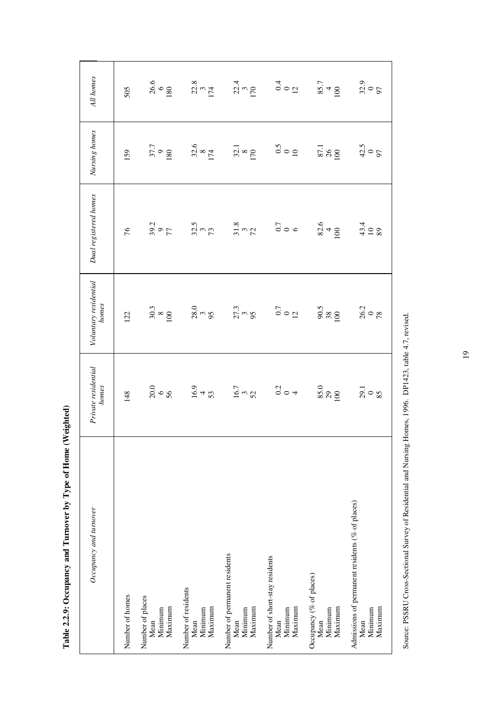| Occupancy and turnover                                                           | Private residential<br>homes | Voluntary residential<br>homes                           | Dual registered homes                                                                                                                                                                                                                                                                                               | Nursing homes                                   | All homes        |
|----------------------------------------------------------------------------------|------------------------------|----------------------------------------------------------|---------------------------------------------------------------------------------------------------------------------------------------------------------------------------------------------------------------------------------------------------------------------------------------------------------------------|-------------------------------------------------|------------------|
| Number of homes                                                                  | 148                          | 122                                                      | 76                                                                                                                                                                                                                                                                                                                  | 159                                             | 505              |
| Number of places<br>Maximum<br>Mean<br>Minimum                                   | -- ୨୦.୦<br>ମୃତ୍ୟୁ            | $\frac{30.3}{8}$                                         | $39.2$<br>77                                                                                                                                                                                                                                                                                                        | $\begin{array}{c} 37.7 \\ 9 \\ 180 \end{array}$ | $\frac{26.6}{6}$ |
| Number of residents<br>Maximum<br>Minimum<br>Mean                                | $16.9$<br>53                 |                                                          | 32.73<br>32.93                                                                                                                                                                                                                                                                                                      |                                                 |                  |
| Number of permanent residents<br>Maximum<br>Minimum<br>Mean                      | $\frac{16.7}{3}$             |                                                          |                                                                                                                                                                                                                                                                                                                     |                                                 |                  |
| Number of short-stay residents<br>Maximum<br>Minimum<br>Mean                     | $rac{1}{\sqrt{2}}$           | $27.3$<br>$25.3$<br>$35.3$<br>$36.5$<br>$36.5$<br>$36.5$ | $\frac{3}{2}$ $\frac{3}{2}$ $\frac{3}{2}$ $\frac{3}{2}$ $\frac{1}{2}$ $\frac{3}{2}$ $\frac{3}{2}$ $\frac{3}{2}$ $\frac{3}{2}$ $\frac{3}{2}$ $\frac{3}{2}$ $\frac{3}{2}$ $\frac{3}{2}$ $\frac{3}{2}$ $\frac{3}{2}$ $\frac{3}{2}$ $\frac{3}{2}$ $\frac{3}{2}$ $\frac{3}{2}$ $\frac{3}{2}$ $\frac{3}{2}$ $\frac{3}{2}$ |                                                 |                  |
| Occupancy (% of places)<br>Maximum<br>Minimum<br>Mean                            | $\frac{85.0}{29}$            |                                                          |                                                                                                                                                                                                                                                                                                                     |                                                 |                  |
| Admissions of permanent residents ( $%$ of places)<br>Maximum<br>Minimum<br>Mean | $29 - 18$                    | $\frac{26.2}{78}$                                        | $43.4$<br>10 8                                                                                                                                                                                                                                                                                                      | $^{42.5}_{00}$                                  | $32.9$<br>97     |

Table 2.2.9: Occupancy and Turnover by Type of Home (Weighted) **Table 2.2.9: Occupancy and Turnover by Type of Home (Weighted)**

Source: PSSRU Cross-Sectional Survey of Residential and Nursing Homes, 1996. DP1423, table 4.7, revised. Source: PSSRU Cross-Sectional Survey of Residential and Nursing Homes, 1996. DP1423, table 4.7, revised.

19